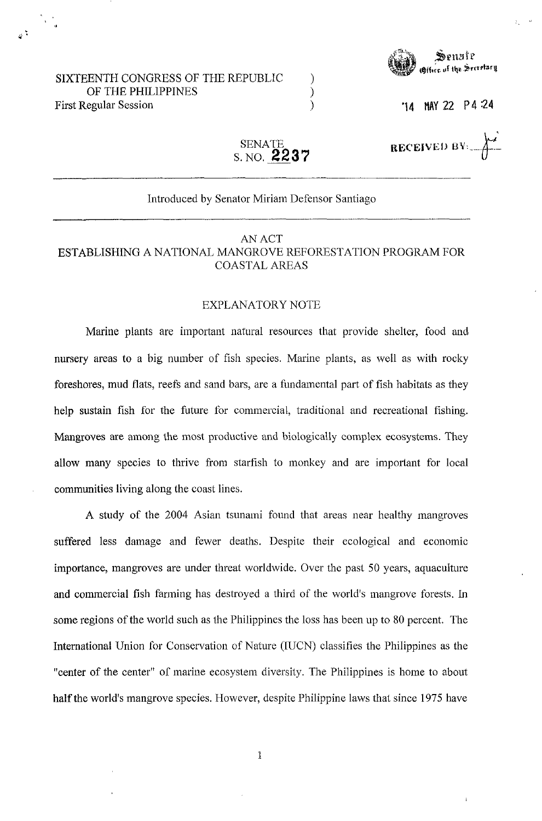#### SIXTEENTH CONGRESS OF THE REPUBLIC OF THE PHILIPPINES First Regular Session



**'14** MY22 P4:24

RECEIVED BY:

SENATE S.NO. **2237** 

) ) )

#### Introduced by Senator Miriam Defensor Santiago

### AN ACT ESTABLISHING A NATIONAL MANGROVE REFORESTATION PROGRAM FOR COASTAL AREAS

#### EXPLANATORY NOTE

Marine plants are important natural resources that provide shelter, food and nursery areas to a big number of fish species. Marine plants, as well as with rocky foreshores, mud flats, reefs and sand bars, are a fundamental part of fish habitats as they help sustain fish for the future for commercial, traditional and recreational fishing. Mangroves are among the most productive and biologically complex ecosystems. They allow many species to thrive from starfish to monkey and are important for local communities living along the coast lines.

A study of the 2004 Asian tsunami found that areas near healthy mangroves suffered less damage and fewer deaths. Despite their ecological and economic importance, mangroves are under threat worldwide. Over the past 50 years, aquaculture and commercial fish farming has destroyed a third of the world's mangrove forests. In some regions of the world such as the Philippines the loss has been up to 80 percent. The International Union for Conservation of Nature (IUCN) classifies the Philippines as the "center of the center" of marine ecosystem diversity. The Philippines is home to about half the world's mangrove species. However, despite Philippine laws that since 1975 have

1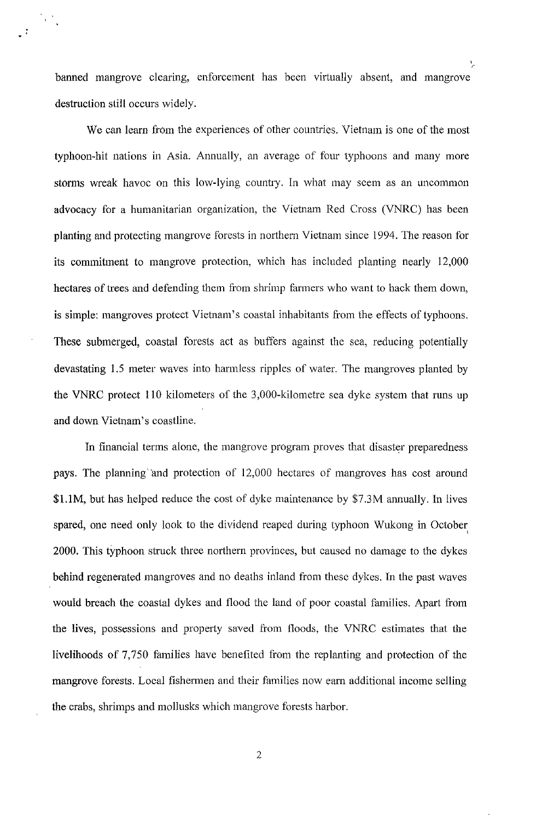banned mangrove clearing, enforcement has been virtually absent, and mangrove destruction still occurs widely.

 $\sqrt{2}$ 

We can learn from the experiences of other countries. Vietnam is one of the most typhoon-hit nations in Asia. Annually, an average of four typhoons and many more storms wreak havoc on this low-lying country. In what may seem as an uncommon advocacy for a humanitarian organization, the Vietnam Red Cross (VNRC) has been planting and protecting mangrove forests in northern Vietnam since 1994. The reason for its commitment to mangrove protection, which has included planting nearly 12,000 hectares of trees and defending them from shrimp farmers who want to hack them down, is simple: mangroves protect Vietnam's coastal inhabitants from the effects of typhoons. These submerged, coastal forests act as buffers against the sea, reducing potentially devastating 1.5 meter waves into harmless ripples of water. The mangroves planted by the VNRC protect 110 kilometers of the 3,000-kilometre sea dyke system that runs up and down Vietnam's coastline.

In financial terms alone, the mangrove program proves that disaster preparedness pays. The planning and protection of 12,000 hectares of mangroves has cost around \$l.IM, but has helped reduce the cost of dyke maintenance by \$7.3M annually. In lives spared, one need only look to the dividend reaped during typhoon Wukong in October 2000. This typhoon struck three northern provinces, but caused no damage to the dykes behind regenerated mangroves and no deaths inland from these dykes. In the past waves would breach the coastal dykes and flood the land of poor coastal families. Apart from the lives, possessions and properly saved trom floods, the VNRC estimates that the livelihoods of 7,750 families have benefited from the replanting and protection of the mangrove forests. Local fishermen and their families now earn additional income selling the crabs, shrimps and mollusks which mangrove forests harbor.

, F

2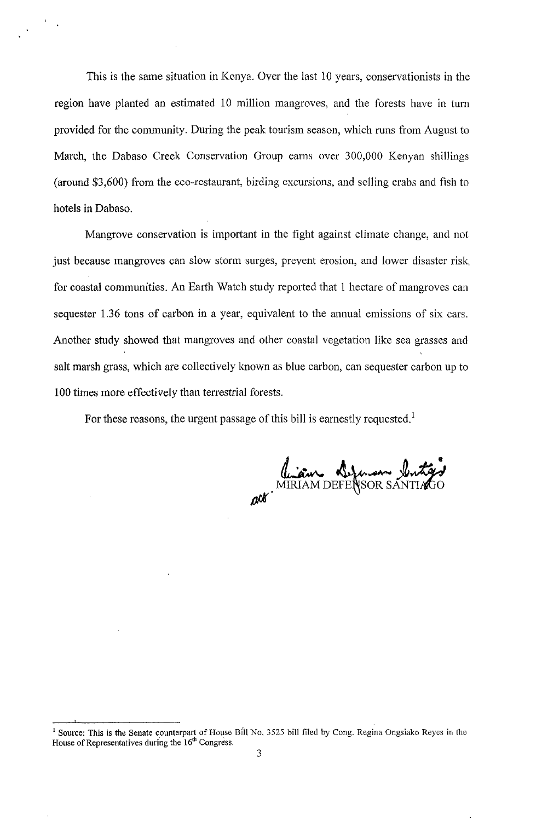This is the same situation in Kenya. Over the last 10 years, conservationists in the region have planted an estimated 10 million mangroves, and the forests have in turn provided for the community. During the peak tourism season, which runs from August to March, the Dabaso Creek Conservation Group earns over 300,000 Kenyan shillings (around  $$3,600$ ) from the eco-restaurant, birding excursions, and selling crabs and fish to hotels in Dabaso.

Mangrove conservation is important in the fight against climate change, and not just because mangroves can slow storm surges, prevent erosion, and lower disaster risk, for coastal communities. An Earth Watch study reported that I hectare of mangroves can sequester 1.36 tons of carbon in a year, equivalent to the annual emissions of six cars. Another study showed that mangroves and other coastal vegetation like sea grasses and salt marsh grass, which are collectively known as blue carbon, can sequester carbon up to 100 times more effectively than terrestrial forests.

For these reasons, the urgent passage of this bill is earnestly requested.<sup>1</sup>

diam Defenson butter

<sup>&</sup>lt;sup>1</sup> Source: This is the Senate counterpart of House Bill No. 3525 bill filed by Cong. Regina Ongsiako Reyes in the House of Representatives during the 16<sup>th</sup> Congress.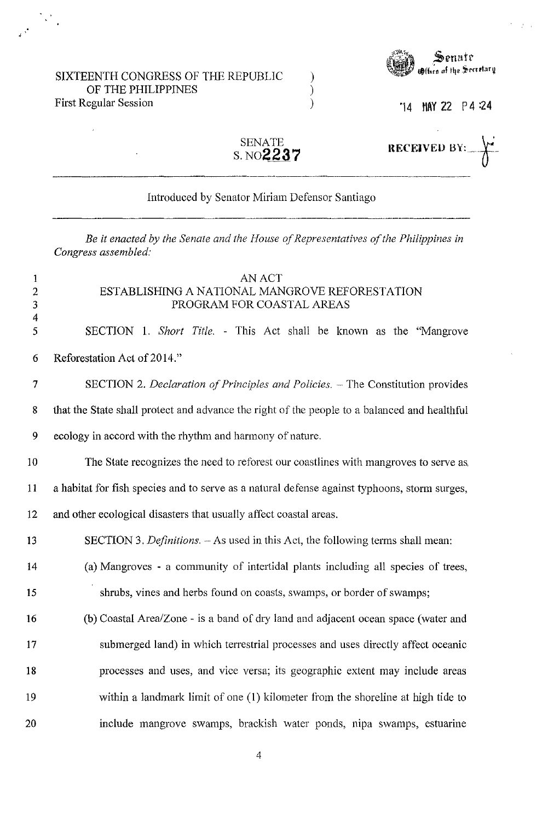#### SIXTEENTH CONGRESS OF THE REPUBLIC OF THE PHILIPPINES First Regular Session

"



'14 MAY 22 P 4 :24

**RECEIVED BY:** 

| SENATE    |
|-----------|
| S. NO2237 |

) ) )

#### Introduced by Senator Miriam Defensor Santiago

*Be it enacted by the Senate and the House of Representatives of the Philippines in Congress assembled:* 

# 1 AN ACT 2 ESTABLISHING A NATIONAL MANGROVE REFORESTATION 3 PROGRAM FOR COASTAL AREAS 4 5 SECTION 1. *Short Title.* - This Act shall be known as the "Mangrove 6 Reforestation Act of 2014." 7 SECTION 2. *Declaration of Principles and Policies.* ~ The Constitution provides 8 that the State shall protect and advance the right of the people to a balanced and healthful 9 ecology in accord with the rhythm and harmony of nature. 10 The State recognizes the need to reforest our coastlines with mangroves to serve a& 11 a habitat for fish species and to serve as a natural defense against typhoons, storm surges, 12 and other ecological disasters that usually affect coastal areas. 13 SECTION 3. *Definitions.* ~ As used in this Act, the following terms shall mean: 14 (a) Mangroves - a community of intertidal plants including all species of trees, 15 shrubs, vines and herbs found on coasts, swamps, or border of swamps; 16 (b) Coastal Area/Zone - is a band of dry land and adjacent ocean space (water and 17 submerged land) in which terrestrial processes and uses directly affect oceanic 18 processes and uses, and vice versa; its geographic extent may include areas 19 within a landmark limit of one (1) kilometer from the shoreline at high tide to 20 include mangrove swamps, brackish water ponds, nipa swamps, estuarine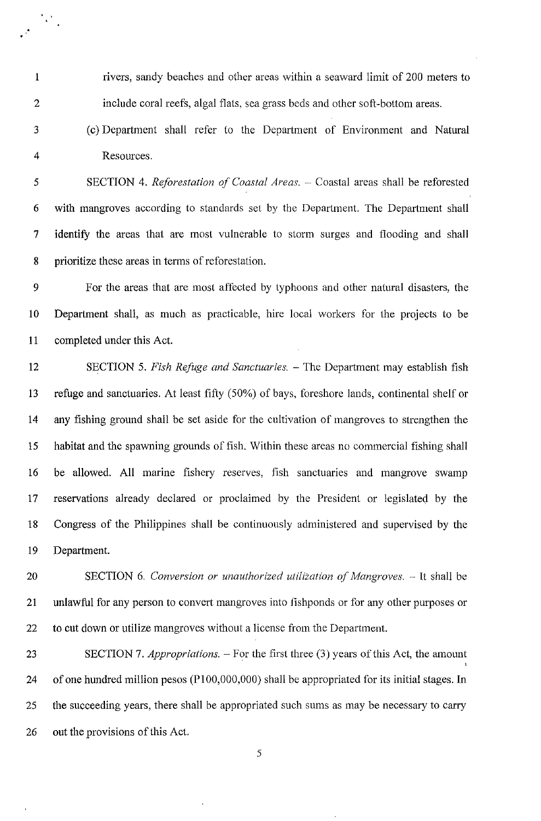1 rivers, sandy beaches and other areas within a seaward limit of 200 meters to 2 include coral reefs, algal flats, sea grass beds and other soft-bottom areas.

.'

· , .

3 (c) Department shall refer to the Department of Environment and Natural 4 Resources.

5 **SECTION 4.** *Reforestation of Coastal Areas.* – Coastal areas shall be reforested 6 with mangroves according to standards set by the Department. The Department shall 7 identify the areas that are most vulnerable to storm surges and flooding and shall 8 prioritize these areas in terms of reforestation.

9 For the areas that are most affected by typhoons and other natural disasters, the 10 Department shall, as much as practicable, hire local workers for the projects to be 11 completed under this Act.

12 SECTION 5. *Fish Refuge and Sanctuaries.* - The Department may establish fish 13 refuge and sanctuaries. At least fifty (50%) of bays, foreshore lands, continental shelf or 14 any fishing ground shall be set aside for the cultivation of mangroves to strengthen the 15 habitat and the spawning grounds of fish. Within these areas no commercial fishing shall 16 be allowed. All marine fishery reserves, fish sanctuaries and mangrove swamp 17 reservations already declared or proclaimed by the President or legislated by the 18 Congress of the Philippines shall be continuously administered and supervised by the 19 Department.

20 SECTION 6. *Conversion or unauthorized utilization of Mangroves.* -- It shall be 21 unlawful for any person to convert mangroves into fishponds or for any other purposes or 22 to cut down or utilize mangroves without a license from the Department.

23 SECTION 7. *Appropriations.* - For the first three (3) years of this Act, the amount 24 of one hundred million pesos (P100,000,000) shall be appropriated for its initial stages. In 25 the succeeding years, there shall be appropriated such sums as may be necessary to carry 26 out the provisions of this Act.

5